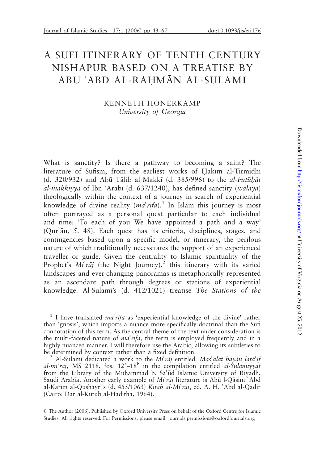# A SUFI ITINERARY OF TENTH CENTURY NISHAPUR BASED ON A TREATISE BY ABŪ ʿABD AL-RAḤMĀN AL-SULAMĪ

#### KENNETH HONERKAMP University of Georgia

What is sanctity? Is there a pathway to becoming a saint? The literature of Sufism, from the earliest works of Hakim al-Tirmidhi (d. 320/932) and Abū Tālib al-Makkī (d. 385/996) to the al-Futuhat al-makkiyya of Ibn 'Arabī (d. 637/1240), has defined sanctity (walāya) theologically within the context of a journey in search of experiential knowledge of divine reality  $(ma^c \eta a)^{1}$ . In Islam this journey is most often portrayed as a personal quest particular to each individual and time: 'To each of you We have appointed a path and a way'  $(Qur\hat{a}n, 5. 48)$ . Each quest has its criteria, disciplines, stages, and contingencies based upon a specific model, or itinerary, the perilous nature of which traditionally necessitates the support of an experienced traveller or guide. Given the centrality to Islamic spirituality of the Prophet's  $M_t \tilde{r} a j$  (the Night Journey),<sup>2</sup> this itinerary with its varied landscapes and ever-changing panoramas is metaphorically represented as an ascendant path through degrees or stations of experiential knowledge. Al-Sulami's (d. 412/1021) treatise The Stations of the

<sup>1</sup> I have translated *ma'rifa* as 'experiential knowledge of the divine' rather than 'gnosis', which imports a nuance more specifically doctrinal than the Sufi connotation of this term. As the central theme of the text under consideration is the multi-faceted nature of  $m a' r if a$ , the term is employed frequently and in a highly nuanced manner. I will therefore use the Arabic, allowing its subtleties to be determined by context rather than a fixed definition.

Al-Sulamī dedicated a work to the Mi'raj entitled: Mas'alat bayan lata'if al-mi<sup>6</sup>rāj, MS 2118, fos. 12<sup>a</sup>-18<sup>b</sup> in the compilation entitled al-Sulamiyyat from the Library of the Muhammad b. Sa'ūd Islamic University of Riyadh, Saudi Arabia. Another early example of  $M_i^r$ raj literature is Abū l-Qāsim 'Abd al-Karīm al-Qushayrī's (d. 455/1063) Kitāb al-Mi $\hat{i}$ rāj, ed. A. H.  $\hat{i}$ Abd al-Qādir (Cairo: Dār al-Kutub al-Hadītha, 1964).

 The Author (2006). Published by Oxford University Press on behalf of the Oxford Centre for Islamic Studies. All rights reserved. For Permissions, please email: journals.permissions@oxfordjournals.org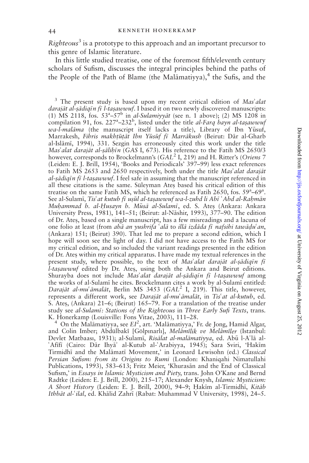$Righteous<sup>3</sup>$  is a prototype to this approach and an important precursor to this genre of Islamic literature.

In this little studied treatise, one of the foremost fifth/eleventh century scholars of Sufism, discusses the integral principles behind the paths of the People of the Path of Blame (the Mal $\alpha$ imatiyya),<sup>4</sup> the Sufis, and the

 $3$  The present study is based upon my recent critical edition of Mas'alat darajāt al-șādiqīn fī l-taṣawwuf. I based it on two newly discovered manuscripts: (1) MS 2118, fos.  $53^a - 57^b$  in *al-Sulamiyyat* (see n. 1 above); (2) MS 1208 in compilation 91, fos. 227<sup>a</sup>-232<sup>b</sup>, listed under the title al-Farq bayn al-tasawwuf wa-l-malāma (the manuscript itself lacks a title), Library of Ibn Yūsuf, Marrakesh, Fihris makhtūtāt Ibn Yūsūf fī Marrākush (Beirut: Dār al-Gharb al-Islāmī, 1994), 331. Sezgin has erroneously cited this work under the title Mas'alat darajāt al-șālihīn (GAS I, 673). His reference to the Fatih MS 2650/3 however, corresponds to Brockelmann's (GAL<sup>2</sup> I, 219) and H. Ritter's (Oriens 7 (Leiden: E. J. Brill, 1954), 'Books and Periodicals' 397–99) less exact references to Fatih MS 2653 and 2650 respectively, both under the title Mas'alat darajat al-sādiqīn fī l-tasawwuf. I feel safe in assuming that the manuscript referenced in all these citations is the same. Süleyman Ates based his critical edition of this treatise on the same Fatih MS, which he referenced as Fatih 2650, fos.  $59^a - 69^a$ . See al-Sulami, Tis' at kutub fi usul al-ta sawwuf wa-l-zuhd li Abi 'Abd al-Rahmān Muhammad b. al-Husayn b. Mūsā al-Sulamī, ed. S. Ates (Ankara: Ankara University Press, 1981), 141-51; (Beirut: al-Nāshir, 1993), 377-90. The edition of Dr. Ates, based on a single manuscript, has a few misreadings and a lacuna of one folio at least (from abā an yushrifa 'alā to illā izdāda fī nafsihi tawādu'an, (Ankara) 151; (Beirut) 390). That led me to prepare a second edition, which I hope will soon see the light of day. I did not have access to the Fatih MS for my critical edition, and so included the variant readings presented in the edition of Dr. Ates within my critical apparatus. I have made my textual references in the present study, where possible, to the text of Mas'alat darajāt al-șādiqīn fī l-tasawwuf edited by Dr. Ates, using both the Ankara and Beirut editions. Shurayba does not include Mas'alat darajāt al-sādigīn fī l-tasawwuf among the works of al-Sulami he cites. Brockelmann cites a work by al-Sulami entitled: Darajāt al-muʿāmalāt, Berlin MS 3453 (GAL<sup>2</sup> I, 219). This title, however, represents a different work, see Darajāt al-mu'āmalāt, in Tis'at al-kutub, ed. S. Ates, (Ankara) 21–6; (Beirut) 165–79. For a translation of the treatise under study see al-Sulami: Stations of the Righteous in Three Early Sufi Texts, trans.

K. Honerkamp (Louisville: Fons Vitae, 2003), 111–28.<br><sup>4</sup> On the Malāmatiyya, see EI<sup>2</sup>, art. 'Malāmatiyya,' Fr. de Jong, Hamid Algar, and Colin Imber; Abdülbakî [Gölpmarlı], Melâmîlik ve Melâmîler (Istanbul: Devlet Matbaası, 1931); al-Sulamī, Risālat al-malāmatiyya, ed. Abū l-A'lā al-'Afifi (Cairo: Dār Ihyā' al-Kutub al-'Arabiyya, 1945); Sara Sviri, 'Hakīm Tirmidhī and the Malāmatī Movement,' in Leonard Lewisohn (ed.) Classical Persian Sufism: from its Origins to Rumi (London: Khaniqahi Nimatullahi Publications, 1993), 583–613; Fritz Meier, 'Khurasān and the End of Classical Sufism,' in Essays in Islamic Mysticism and Piety, trans. John O'Kane and Bernd Radtke (Leiden: E. J. Brill, 2000), 215–17; Alexander Knysh, Islamic Mysticism: A Short History (Leiden: E. J. Brill, 2000), 94–9; Hakīm al-Tirmidhī, Kitāb Ithbāt al-'ilal, ed. Khālid Zahrī (Rabat: Muhammad V University, 1998), 24-5.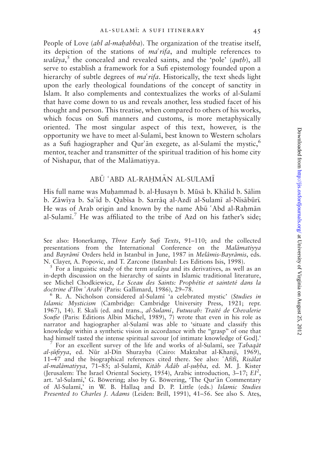People of Love (ahl al-mahabba). The organization of the treatise itself, its depiction of the stations of  $ma' \, rifa$ , and multiple references to walāya,<sup>5</sup> the concealed and revealed saints, and the 'pole' (qutb), all serve to establish a framework for a Sufi epistemology founded upon a hierarchy of subtle degrees of  $ma^{\prime}$ rifa. Historically, the text sheds light upon the early theological foundations of the concept of sanctity in Islam. It also complements and contextualizes the works of al-Sulam; that have come down to us and reveals another, less studied facet of his thought and person. This treatise, when compared to others of his works, which focus on Sufi manners and customs, is more metaphysically oriented. The most singular aspect of this text, however, is the opportunity we have to meet al-Sulam;, best known to Western scholars as a Sufi hagiographer and Qur'an exegete, as al-Sulami the mystic,  $6\%$ mentor, teacher and transmitter of the spiritual tradition of his home city of Nishapur, that of the Malāmatiyya.

## ABŪ ʿABD AL-RAḤMĀN AL-SULAMĪ

His full name was Muhammad b. al-Husayn b. Mūsā b. Khālid b. Sālim b. Zāwīya b. Sa'īd b. Qabīsa b. Sarrāq al-Azdī al-Sulamī al-Nīsābūrī. He was of Arab origin and known by the name Abū 'Abd al-Rahmān al-Sulami.<sup>7</sup> He was affiliated to the tribe of Azd on his father's side;

See also: Honerkamp, Three Early Sufi Texts, 91-110; and the collected presentations from the International Conference on the Mal $\hat{a}$ matiyya and Bayrâmī Orders held in Istanbul in June, 1987 in Melâmis-Bayrâmis, eds.<br>N. Clayer, A. Popovic, and T. Zarcone (Istanbul: Les Editions Isis, 1998).

 $\frac{1}{2}$  For a linguistic study of the term *walāya* and its derivatives, as well as an in-depth discussion on the hierarchy of saints in Islamic traditional literature, see Michel Chodkiewicz, Le Sceau des Saints: Prophétie et sainteté dans la<br>doctrine d'Ibn 'Arabī (Paris: Gallimard, 1986), 29-78.

<sup>6</sup> R. A. Nicholson considered al-Sulami 'a celebrated mystic' (Studies in Islamic Mysticism (Cambridge: Cambridge University Press, 1921; repr. 1967), 14). F. Skali (ed. and trans., al-Sulami, Futuwah: Traité de Chevalerie Soufie (Paris: Editions Albin Michel, 1989), 7) wrote that even in his role as narrator and hagiographer al-Sulam; was able to 'situate and classify this knowledge within a synthetic vision in accordance with the "grasp" of one that had himself tasted the intense spiritual savour [of intimate knowledge of God].'

For an excellent survey of the life and works of al-Sulami, see Tabaqat al-șūfiyya, ed. Nūr al-Dīn Shurayba (Cairo: Maktabat al-Khanjī, 1969),  $11-47$  and the biographical references cited there. See also:  $Afiff, Ris\bar{a}lat$ al-malāmatiyya, 71–85; al-Sulamī, Kitāb Ādāb al-suhba, ed. M. J. Kister (Jerusalem: The Israel Oriental Society, 1954), Arabic introduction, 3-17; EI<sup>2</sup>, art. 'al-Sulamī,' G. Böwering; also by G. Böwering, 'The Qur'ān Commentary of Al-Sulam;,' in W. B. Hallaq and D. P. Little (eds.) Islamic Studies Presented to Charles J. Adams (Leiden: Brill, 1991), 41-56. See also S. Ates,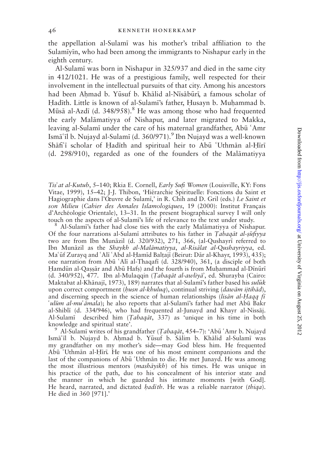the appellation al-Sulam; was his mother's tribal affiliation to the Sulamiyin, who had been among the immigrants to Nishapur early in the eighth century.

Al-Sulam; was born in Nishapur in 325/937 and died in the same city in 412/1021. He was of a prestigious family, well respected for their involvement in the intellectual pursuits of that city. Among his ancestors had been Ahmad b. Yūsuf b. Khālid al-Nīsābūrī, a famous scholar of Hadīth. Little is known of al-Sulamī's father, Husayn b. Muhammad b. Mūsā al-Azdī (d. 348/958).<sup>8</sup> He was among those who had frequented the early Malāmatiyya of Nishapur, and later migrated to Makka, leaving al-Sulami under the care of his maternal grandfather, Abu 'Amr Ismāʿīl b. Nujayd al-Sulamī (d. 360/971).<sup>9</sup> Ibn Nujayd was a well-known Shafi'i scholar of Hadith and spiritual heir to Abu 'Uthman al-Hiri  $(d. 298/910)$ , regarded as one of the founders of the Malamatiyya

Tis' at al-Kutub, 5–140; Rkia E. Cornell, Early Sufi Women (Louisville, KY: Fons Vitae, 1999), 15–42; J-J. Thibon, 'Hiérarchie Spirituelle: Fonctions du Saint et Hagiographie dans l'Oeuvre de Sulamī,' in R. Chih and D. Gril (eds.) Le Saint et son Milieu (Cahier des Annales Islamologiques, 19 (2000): Institut Français d'Archéologie Orientale), 13–31. In the present biographical survey I will only touch on the aspects of al-Sulami's life of relevance to the text under study.

<sup>8</sup> Al-Sulami's father had close ties with the early Malamatiyya of Nishapur. Of the four narrations al-Sulami attributes to his father in Tabaqat al- $\frac{1}{2}u$ fiyya two are from Ibn Munāzil (d. 320/932), 271, 366, (al-Qushayrī referred to Ibn Munāzil as the Shaykh al-Malāmatiyya, al-Risālat al-Qushayriyya, ed. Ma'ūf Zurayq and 'Alī 'Abd al-Ḥamīd Balțajī (Beirut: Dār al-Khayr, 1993), 435); one narration from Abū 'Alī al-Thaqafī (d. 328/940), 361, (a disciple of both Hamdūn al-Qassār and Abū Hafs) and the fourth is from Muhammad al-Dīnūrī (d. 340/952), 477. Ibn al-Mulaqqin (Tabaqāt al-awliya<sup>2</sup>, ed. Shurayba (Cairo: Maktabat al-Khānajī, 1973), 189) narrates that al-Sulamī's father based his sulūk upon correct comportment (*husn al-khuluq*), continual striving (*dawām ijtihād*), and discerning speech in the science of human relationships (lisan al-Haqq fi 'ulūm al-mu  $\bar{a}$ mala); he also reports that al-Sulami's father had met Abū Bakr al-Shiblī (d. 334/946), who had frequented al-Junayd and Khayr al-Nissāj. Al-Sulami described him (Tabaqāt, 337) as 'unique in his time in both knowledge and spiritual state'.<br><sup>9</sup> Al-Sulamī writes of his grandfather (*Tabaqāt*, 454–7): 'Abū ʿAmr b. Nujayd

Ismā'īl b. Nujayd b. Ahmad b. Yūsuf b. Sālim b. Khālid al-Sulamī was my grandfather on my mother's side—may God bless him. He frequented Abū 'Uthmān al-Hīrī. He was one of his most eminent companions and the last of the companions of Abū 'Uthmān to die. He met Junayd. He was among the most illustrious mentors (*mashāyikh*) of his times. He was unique in his practice of the path, due to his concealment of his interior state and the manner in which he guarded his intimate moments [with God]. He heard, narrated, and dictated *hadith*. He was a reliable narrator *(thiga)*. He died in 360 [971].'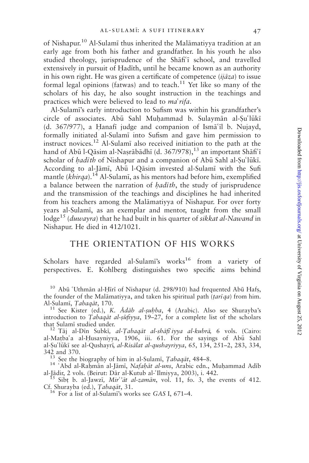of Nishapur.<sup>10</sup> Al-Sulamī thus inherited the Malāmatiyya tradition at an early age from both his father and grandfather. In his youth he also studied theology, jurisprudence of the Shafi'i school, and travelled extensively in pursuit of Hadīth, until he became known as an authority in his own right. He was given a certificate of competence  $(i\bar{a}z\bar{a})$  to issue formal legal opinions (fatwas) and to teach.<sup>11</sup> Yet like so many of the scholars of his day, he also sought instruction in the teachings and practices which were believed to lead to ma'rifa.

Al-Sulami's early introduction to Sufism was within his grandfather's circle of associates. Abū Sahl Muhammad b. Sulaymān al-Su'lūkī (d. 367/977), a Hanafi judge and companion of Ism $\tilde{a}$ <sup>c</sup>il b. Nujayd, formally initiated al-Sulam; into Sufism and gave him permission to instruct novices.<sup>12</sup> Al-Sulam; also received initiation to the path at the hand of Abū l-Qāsim al-Naṣrābādhī (d. 367/978),<sup>13</sup> an important Shāfi<sup>c</sup>ī scholar of *hadith* of Nishapur and a companion of Abū Sahl al-Su'lūkī. According to al-Jāmī, Abū l-Qāsim invested al-Sulamī with the Sufi mantle (khirqa).<sup>14</sup> Al-Sulami, as his mentors had before him, exemplified a balance between the narration of *hadith*, the study of jurisprudence and the transmission of the teachings and disciplines he had inherited from his teachers among the Malamatiyya of Nishapur. For over forty years al-Sulam;, as an exemplar and mentor, taught from the small lodge<sup>15</sup> (*duwayra*) that he had built in his quarter of *sikkat al-Nawand* in Nishapur. He died in 412/1021.

## THE ORIENTATION OF HIS WORKS

Scholars have regarded al-Sulami's works $16$  from a variety of perspectives. E. Kohlberg distinguishes two specific aims behind

 $10$  Abū 'Uthmān al-Hīrī of Nishapur (d. 298/910) had frequented Abū Hafs, the founder of the Malāmatiyya, and taken his spiritual path ( $\text{tar}q$ a) from him.<br>Al-Sulamī, Tabagāt, 170.

<sup>11</sup> See Kister (ed.), *K. Ādāb al-suhba*, 4 (Arabic). Also see Shurayba's introduction to Tabaqāt al-sūfiyya,  $19-27$ , for a complete list of the scholars that Sulamī studied under.<br><sup>12</sup> Tāj al-Dīn Subkī, *al-Ţabaqāt al-shāfiʿiyya al-kubrā*, 6 vols. (Cairo:

al-Matba'a al-Husayniyya, 1906, iii. 61. For the sayings of Abu Sahl al-Şu'lūkī see al-Qushayrī, al-Risālat al-qushayriyya, 65, 134, 251-2, 283, 334,

342 and 370.<br><sup>13</sup> See the biography of him in al-Sulami, *Tabaqat*, 484–8.<br><sup>14</sup> 'Abd al-Raḥmān al-Jāmī, *Nafaḥāt al-uns*, Arabic edn., Muḥammad Adīb<br>al-Jādir, 2 vols. (Beirut: Dār al-Kutub al-'Ilmiyya, 2003), i. 442.

<sup>15</sup> Sibt b. al-Jawzi, *Mir''at al-zaman*, vol. 11, fo. 3, the events of 412. Cf. Shurayba (ed.), *Tabaqat*, 31.

<sup>16</sup> For a list of al-Sulami's works see GAS I, 671–4.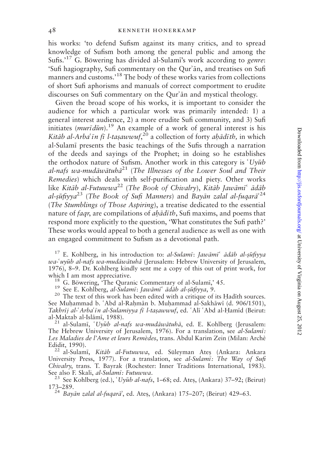his works: 'to defend Sufism against its many critics, and to spread knowledge of Sufism both among the general public and among the Sufis.<sup>'17</sup> G. Böwering has divided al-Sulami's work according to *genre*: 'Sufi hagiography, Sufi commentary on the Qur'an, and treatises on Sufi manners and customs.'<sup>18</sup> The body of these works varies from collections of short Sufi aphorisms and manuals of correct comportment to erudite discourses on Sufi commentary on the Qur'an and mystical theology.

Given the broad scope of his works, it is important to consider the audience for which a particular work was primarily intended: 1) a general interest audience, 2) a more erudite Sufi community, and 3) Sufi initiates  $(muri\,dim).$ <sup>19</sup> An example of a work of general interest is his Kitāb al-Arba<sup>c</sup>īn fī l-taṣawwuf,<sup>20</sup> a collection of forty aḥādīth, in which al-Sulam; presents the basic teachings of the Sufis through a narration of the deeds and sayings of the Prophet; in doing so he establishes the orthodox nature of Sufism. Another work in this category is  $Uy\bar{u}b$ al-nafs wa-mudāwātuhā<sup>21</sup> (The Illnesses of the Lower Soul and Their Remedies) which deals with self-purification and piety. Other works like Kitāb al-Futuwwa<sup>22</sup> (The Book of Chivalry), Kitāb Jawāmī<sup> $\epsilon$ </sup> ādāb al-ṣūfiyya $^{23}$  (The Book of Sufi Manners) and Bayān zalal al-fuqarā $^{24}$ (The Stumblings of Those Aspiring), a treatise dedicated to the essential nature of  $f$ *aqr*, are compilations of *ah* $\bar{a}$ *dith*, Sufi maxims, and poems that respond more explicitly to the question, 'What constitutes the Sufi path?' These works would appeal to both a general audience as well as one with an engaged commitment to Sufism as a devotional path.

<sup>17</sup> E. Kohlberg, in his introduction to: al-Sulami: Jawāmī<sup> $\epsilon$ </sup> ādāb al-sūfiyya wa-'uyūb al-nafs wa-mudāwātuhā (Jerusalem: Hebrew University of Jerusalem, 1976), 8–9. Dr. Kohlberg kindly sent me a copy of this out of print work, for

<sup>18</sup> G. Böwering, 'The Quranic Commentary of al-Sulamī,' 45.<br><sup>19</sup> See E. Kohlberg, *al-Sulamī*: *Jawāmī*<sup>c</sup> *ādāb al-ṣūfiyya*, 9.<br><sup>20</sup> The text of this work has been edited with a critique of its Hadīth sources. See Muhammad b. 'Abd al-Rahmān b. Muhammad al-Sakhāwī (d. 906/1501), Takhrīj al-'Arba'īn al-Sulamiyya fī l-taṣawwuf, ed. 'Alī 'Abd al-Ḥamīd (Beirut:

al-Maktab al-Islāmī, 1988).<br><sup>21</sup> al-Sulamī, '*Uyūb al-nafs wa-mudāwātuhā*, ed. E. Kohlberg (Jerusalem: The Hebrew University of Jerusalem, 1976). For a translation, see al-Sulami: Les Maladies de l'Ame et leurs Remèdes, trans. Abdul Karim Zein (Milan: Archè Edidit, 1990).<br><sup>22</sup> al-Sulamī, *Kitāb al-Futuwwa*, ed. Süleyman Ateş (Ankara: Ankara

University Press, 1977). For a translation, see al-Sulami: The Way of Sufi Chivalry, trans. T. Bayrak (Rochester: Inner Traditions International, 1983). See also F. Skali, *al-Sulamī: Futuwwa.*<br><sup>23</sup> See Kohlberg (ed.), '*Uyūb al-nafs*, 1–68; ed. Ateş, (Ankara) 37–92; (Beirut)

173–289.<br><sup>24</sup> Bayān zalal al-fuqarā<sup>2</sup>, ed. Ates, (Ankara) 175–207; (Beirut) 429–63.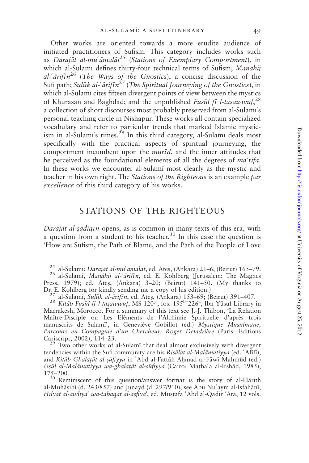Other works are oriented towards a more erudite audience of initiated practitioners of Sufism. This category includes works such as Darajāt al-muʿāmalāt<sup>25</sup> (Stations of Exemplary Comportment), in which al-Sulamī defines thirty-four technical terms of Sufism; Manāhij al- $\tilde{a}$ rifin<sup>26</sup> (The Ways of the Gnostics), a concise discussion of the Sufi path; Sulūk al- $\tilde{a}$ rifīn<sup>27</sup> (The Spiritual Journeying of the Gnostics), in which al-Sulami cites fifteen divergent points of view between the mystics of Khurasan and Baghdad; and the unpublished Fusul fi l-tasawwuf,<sup>28</sup> a collection of short discourses most probably preserved from al-Sulami's personal teaching circle in Nishapur. These works all contain specialized vocabulary and refer to particular trends that marked Islamic mysticism in al-Sulami's times.<sup>29</sup> In this third category, al-Sulami deals most specifically with the practical aspects of spiritual journeying, the comportment incumbent upon the *murid*, and the inner attitudes that he perceived as the foundational elements of all the degrees of  $ma<sup>2</sup> rifa$ . In these works we encounter al-Sulami most clearly as the mystic and teacher in his own right. The Stations of the Righteous is an example par excellence of this third category of his works.

## STATIONS OF THE RIGHTEOUS

Darajāt al-sādiqīn opens, as is common in many texts of this era, with a question from a student to his teacher.<sup>30</sup> In this case the question is 'How are Sufism, the Path of Blame, and the Path of the People of Love

<sup>25</sup> al-Sulamī: *Darajāt al-mu<sup>6</sup> āmalāt*, ed. Ateş, (Ankara) 21–6; (Beirut) 165–79.<br><sup>26</sup> al-Sulamī, *Manāhij al-ʿārifīn*, ed. E. Kohlberg (Jerusalem: The Magnes Press, 1979); ed. Ates, (Ankara) 3–20; (Beirut) 141–50. (My thanks to Dr. E. Kohlberg for kindly sending me a copy of his edition.) <sup>27</sup> al-Sulamī, *Sulūk al-ārifīn*, ed. Ateş, (Ankara) 153–69; (Beirut) 391–407.

<sup>28</sup> Kitāb Fusūl fī l-tasawwuf, MS 1204, fos.  $195^{\rm b}$  -226<sup>a</sup>, Ibn Yūsuf Library in Marrakesh, Morocco. For a summary of this text see J.-J. Thibon, 'La Relation Maître-Disciple ou Les Eléments de l'Alchimie Spirituelle d'après trois manuscrits de Sulamī', in Geneviève Gobillot (ed.) Mystique Musulmane, Parcours en Compagnie d'un Chercheur: Roger Deladrière (Paris: Editions Cariscript, 2002), 114–23. <sup>29</sup> Two other works of al-Sulam; that deal almost exclusively with divergent

tendencies within the Sufi community are his Risālat al-Malāmatiyya (ed. 'Afīfī), and Kitāb Ghalatāt al-sūfiyya in 'Abd al-Fattāh Ahmad al-Fāwī Mahmūd (ed.) Uşūl al-Malāmatiyya wa-ghalatāt al-șūfiyya (Cairo: Maṭbaʿa al-Irshād, 1985), 175-200.

<sup>30</sup> Reminiscent of this question/answer format is the story of al-Hārith al-Muhāsibī (d. 243/857) and Junayd (d. 297/910), see Abū Nu'aym al-Isfahānī, Hilyat al-awliya<sup>3</sup> wa-tabaqāt al-asfiya<sup>2</sup>, ed. Mustafā 'Abd al-Qādir 'Atā, 12 vols.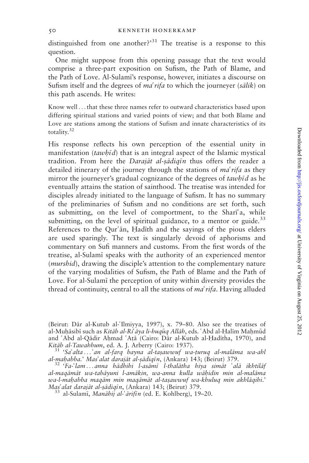distinguished from one another? $3<sup>31</sup>$  The treatise is a response to this question.

One might suppose from this opening passage that the text would comprise a three-part exposition on Sufism, the Path of Blame, and the Path of Love. Al-Sulam;'s response, however, initiates a discourse on Sufism itself and the degrees of  $ma' \, r$  if a to which the journeyer (salik) on this path ascends. He writes:

Know well ...that these three names refer to outward characteristics based upon differing spiritual stations and varied points of view; and that both Blame and Love are stations among the stations of Sufism and innate characteristics of its totality.<sup>32</sup>

His response reflects his own perception of the essential unity in manifestation  $(tawh\bar{d})$  that is an integral aspect of the Islamic mystical tradition. From here the Darajāt al-sādigīn thus offers the reader a detailed itinerary of the journey through the stations of  $ma<sup>2</sup> rifa$  as they mirror the journeyer's gradual cognizance of the degrees of  $tawh\bar{d}$  as he eventually attains the station of sainthood. The treatise was intended for disciples already initiated to the language of Sufism. It has no summary of the preliminaries of Sufism and no conditions are set forth, such as submitting, on the level of comportment, to the Shari'a, while submitting, on the level of spiritual guidance, to a mentor or guide. $33$ References to the Qur'an, Hadith and the sayings of the pious elders are used sparingly. The text is singularly devoid of aphorisms and commentary on Sufi manners and customs. From the first words of the treatise, al-Sulam; speaks with the authority of an experienced mentor (murshid), drawing the disciple's attention to the complementary nature of the varying modalities of Sufism, the Path of Blame and the Path of Love. For al-Sulam; the perception of unity within diversity provides the thread of continuity, central to all the stations of  $ma'$ rifa. Having alluded

(Beirut: Dār al-Kutub al-'Ilmiyya, 1997), x. 79–80. Also see the treatises of al-Muhāsibī such as Kitāb al-Ri āya li-huquq Allāh, eds. 'Abd al-Halīm Mahmūd and 'Abd al-Qādir Aḥmad 'Aṭā (Cairo: Dār al-Kutub al-Hadītha, 1970), and *Kitāb al-Tawahhum*, ed. A. J. Arberry (Cairo: 1937).

 $\frac{31}{31}$  'Sa'alta... 'an al-farq bayna al-tasawwuf wa-turuq al-malama wa-ahl<br>al-mahabba.' Mas'alat darajat al-sadigin, (Ankara) 143; (Beirut) 379.

<sup>32</sup> 'Fa-'lam...anna hādhihi l-asāmī l-thalātha hiya simāt 'alā ikhtilāf al-maqāmāt wa-tabāyuni l-amākin, wa-anna kulla wāhidin min al-malāma wa-l-mahabba maqām min maqāmāt al-taṣawwuf wa-khuluq min akhlāqihi.' Mas'alat darajāt al-sādiqīn, (Ankara) 143; (Beirut) 379.<br><sup>33</sup> al-Sulamī, *Manāhij al-ʿārifīn* (ed. E. Kohlberg), 19–20.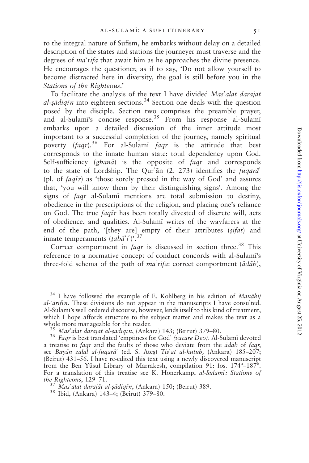to the integral nature of Sufism, he embarks without delay on a detailed description of the states and stations the journeyer must traverse and the degrees of *ma<sup>s</sup>rifa* that await him as he approaches the divine presence. He encourages the questioner, as if to say, 'Do not allow yourself to become distracted here in diversity, the goal is still before you in the Stations of the Righteous.'

To facilitate the analysis of the text I have divided Mas'alat darajāt al-sādiqīn into eighteen sections.<sup>34</sup> Section one deals with the question posed by the disciple. Section two comprises the preamble prayer, and al-Sulami's concise response.<sup>35</sup> From his response al-Sulami embarks upon a detailed discussion of the inner attitude most important to a successful completion of the journey, namely spiritual poverty (faqr).<sup>36</sup> For al-Sulami faqr is the attitude that best corresponds to the innate human state: total dependency upon God. Self-sufficiency  $(ghan\bar{a})$  is the opposite of  $faqr$  and corresponds to the state of Lordship. The Qur'an  $(2, 273)$  identifies the *fuqara*<sup>3</sup> (pl. of  $faq\bar{i}r$ ) as 'those sorely pressed in the way of God' and assures that, 'you will know them by their distinguishing signs'. Among the signs of *faqr* al-Sulami mentions are total submission to destiny, obedience in the prescriptions of the religion, and placing one's reliance on God. The true *faqir* has been totally divested of discrete will, acts of obedience, and qualities. Al-Sulam; writes of the wayfarers at the end of the path, '[they are] empty of their attributes  $(sif\bar{a}t)$  and innate temperaments  $(tab\vec{a}'t')$ <sup>37</sup>

Correct comportment in  $faqr$  is discussed in section three.<sup>38</sup> This reference to a normative concept of conduct concords with al-Sulami's three-fold schema of the path of  $ma^r$ rifa: correct comportment ( $\bar{a}d\bar{a}b$ ),

<sup>34</sup> I have followed the example of E. Kohlberg in his edition of Manāhij  $al$ - $\tilde{arif}$  *in*. These divisions do not appear in the manuscripts I have consulted. Al-Sulam;'s well ordered discourse, however, lends itself to this kind of treatment, which I hope affords structure to the subject matter and makes the text as a whole more manageable for the reader.<br><sup>35</sup> Mas'alat darajāt al-sādiqīn, (Ankara) 143; (Beirut) 379–80.<br><sup>36</sup> Faqr is best translated 'emptiness for God' (vacare Deo). Al-Sulamī devoted

a treatise to  $f a q r$  and the faults of those who deviate from the  $\bar{a} d\bar{a} b$  of  $f a q r$ , see Bayān zalal al-fuqarā' (ed. S. Ateș) Tis'at al-kutub, (Ankara) 185–207; (Beirut) 431–56. I have re-edited this text using a newly discovered manuscript from the Ben Yūsuf Library of Marrakesh, compilation 91: fos. 174<sup>a</sup>-187<sup>b</sup>. For a translation of this treatise see K. Honerkamp, al-Sulami: Stations of the Righteous, 129–71.<br><sup>37</sup> Mas'alat darajāt al-ṣādiqīn, (Ankara) 150; (Beirut) 389.<br><sup>38</sup> Ibid, (Ankara) 143–4; (Beirut) 379–80.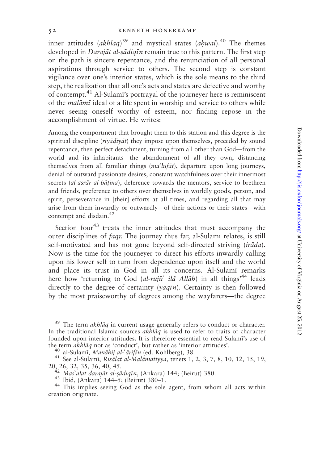inner attitudes (akhlāq)<sup>39</sup> and mystical states (ahwāl).<sup>40</sup> The themes developed in *Darajāt al-sādiqīn* remain true to this pattern. The first step on the path is sincere repentance, and the renunciation of all personal aspirations through service to others. The second step is constant vigilance over one's interior states, which is the sole means to the third step, the realization that all one's acts and states are defective and worthy of contempt.<sup>41</sup> Al-Sulami's portrayal of the journeyer here is reminiscent of the *malami* ideal of a life spent in worship and service to others while never seeing oneself worthy of esteem, nor finding repose in the accomplishment of virtue. He writes:

Among the comportment that brought them to this station and this degree is the spiritual discipline (riyadiyat) they impose upon themselves, preceded by sound repentance, then perfect detachment, turning from all other than God—from the world and its inhabitants—the abandonment of all they own, distancing themselves from all familiar things  $(ma<sup>2</sup>luf\bar{a}t)$ , departure upon long journeys, denial of outward passionate desires, constant watchfulness over their innermost secrets (al-asrār al-bāṭina), deference towards the mentors, service to brethren and friends, preference to others over themselves in worldly goods, person, and spirit, perseverance in [their] efforts at all times, and regarding all that may arise from them inwardly or outwardly—of their actions or their states—with contempt and disdain.<sup>42</sup>

Section four<sup>43</sup> treats the inner attitudes that must accompany the outer disciplines of *faqr*. The journey thus far, al-Sulami relates, is still self-motivated and has not gone beyond self-directed striving (*irāda*). Now is the time for the journeyer to direct his efforts inwardly calling upon his lower self to turn from dependence upon itself and the world and place its trust in God in all its concerns. Al-Sulamī remarks here how 'returning to God (al-ruju<sup>c</sup> ilā Allāh) in all things<sup>144</sup> leads directly to the degree of certainty ( $\gamma a q \bar{i} n$ ). Certainty is then followed by the most praiseworthy of degrees among the wayfarers—the degree

the term *akhlāq* not as 'conduct', but rather as 'interior attitudes'.<br>
<sup>40</sup> al-Sulamī, *Manāhij al*-*<sup>{arift}</sup>n* (ed. Kohlberg), 38.<br>
<sup>41</sup> See al-Sulamī, *Risālat al-Malāmatiyya*, tenets 1, 2, 3, 7, 8, 10, 12, 15, 19,<br>
2

<sup>242</sup> Mas<sup>2</sup> dat darajāt al-sādiqīn, (Ankara) 144; (Beirut) 380.<br><sup>43</sup> Ibid, (Ankara) 144–5; (Beirut) 380–1.<br><sup>44</sup> This implies seeing God as the sole agent, from whom all acts within creation originate.

 $39$  The term akhlāq in current usage generally refers to conduct or character. In the traditional Islamic sources akhlāq is used to refer to traits of character founded upon interior attitudes. It is therefore essential to read Sulami's use of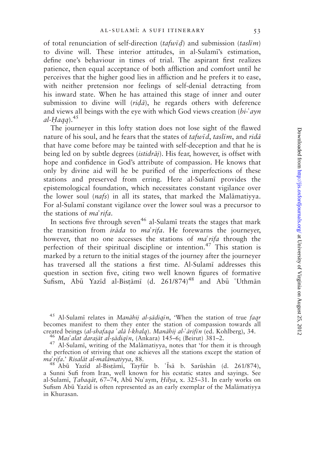of total renunciation of self-direction (tafwid) and submission (taslim) to divine will. These interior attitudes, in al-Sulami's estimation, define one's behaviour in times of trial. The aspirant first realizes patience, then equal acceptance of both affliction and comfort until he perceives that the higher good lies in affliction and he prefers it to ease, with neither pretension nor feelings of self-denial detracting from his inward state. When he has attained this stage of inner and outer submission to divine will  $\langle r \rangle$  he regards others with deference and views all beings with the eye with which God views creation  $(bi-\alpha yn)$ al-Hagg). $45$ 

The journeyer in this lofty station does not lose sight of the flawed nature of his soul, and he fears that the states of  $tafw\bar{t}d$ , taslim, and  $rid\bar{a}$ that have come before may be tainted with self-deception and that he is being led on by subtle degrees *(istidraj)*. His fear, however, is offset with hope and confidence in God's attribute of compassion. He knows that only by divine aid will he be purified of the imperfections of these stations and preserved from erring. Here al-Sulam; provides the epistemological foundation, which necessitates constant vigilance over the lower soul  $(nafs)$  in all its states, that marked the Malamativya. For al-Sulam; constant vigilance over the lower soul was a precursor to the stations of  $ma^r$ *ifa*.

In sections five through seven<sup>46</sup> al-Sulami treats the stages that mark the transition from *ironda* to *ma'rifa*. He forewarns the journeyer, however, that no one accesses the stations of  $ma^r$  if a through the perfection of their spiritual discipline or intention.<sup>47</sup> This station is marked by a return to the initial stages of the journey after the journeyer has traversed all the stations a first time. Al-Sulami addresses this question in section five, citing two well known figures of formative Sufism, Abū Yazīd al-Bistāmī (d. 261/874)<sup>48</sup> and Abū 'Uthmān

<sup>46</sup> Mas'alat darajāt al-sādiqīn, (Ankara) 145–6; (Beirut) 381–2.<br><sup>47</sup> Al-Sulamī, writing of the Malāmatiyya, notes that 'for them it is through the perfection of striving that one achieves all the stations except the station of  $ma' \, rita$ .' Risalat al-malamativya, 88. *maʿrifa.' Risalāt al-malāmatiyya*, 88.<br>- <sup>48</sup> Abū Yazīd al-Bisṭāmī, Tayfūr b. ʿĪsā b. Sarūshān (d. 261/874),

a Sunni Sufi from Iran, well known for his ecstatic states and sayings. See al-Sulamī, Tabaqāt, 67-74, Abū Nu'aym, Hilya, x. 325-31. In early works on Sufism Abū Yazīd is often represented as an early exemplar of the Malamatiyya in Khurasan.

<sup>&</sup>lt;sup>45</sup> Al-Sulami relates in *Manāhij al-șādiqin*, 'When the station of true *faqr* becomes manifest to them they enter the station of compassion towards all created beings *(al-shafaqa 'alā l-khalq)*. *Manāhij al-'ārifīn (ed. Kohlberg)*, 34.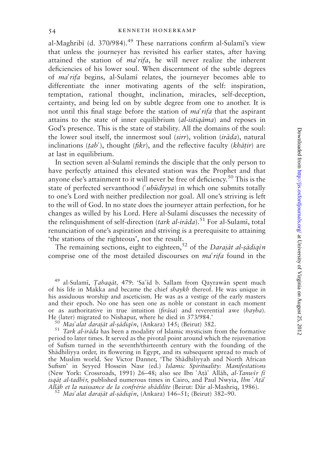al-Maghribī (d. 370/984). $49$  These narrations confirm al-Sulamī's view that unless the journeyer has revisited his earlier states, after having attained the station of  $ma^r$ rifa, he will never realize the inherent deficiencies of his lower soul. When discernment of the subtle degrees of *ma'rifa* begins, al-Sulami relates, the journeyer becomes able to differentiate the inner motivating agents of the self: inspiration, temptation, rational thought, inclination, miracles, self-deception, certainty, and being led on by subtle degree from one to another. It is not until this final stage before the station of  $ma<sup>2</sup> rifa$  that the aspirant attains to the state of inner equilibrium  $(al-istiaāma)$  and reposes in God's presence. This is the state of stability. All the domains of the soul: the lower soul itself, the innermost soul (sirr), volition (ir $\bar{a}da$ ), natural inclinations (tab'), thought (fikr), and the reflective faculty (khāṭir) are at last in equilibrium.

In section seven al-Sulam; reminds the disciple that the only person to have perfectly attained this elevated station was the Prophet and that anyone else's attainment to it will never be free of deficiency.<sup>50</sup> This is the state of perfected servanthood ( $\omega$ *ibudiyya*) in which one submits totally to one's Lord with neither predilection nor goal. All one's striving is left to the will of God. In no state does the journeyer attain perfection, for he changes as willed by his Lord. Here al-Sulam; discusses the necessity of the relinquishment of self-direction (tark al-ir $\bar{a}$ da).<sup>51</sup> For al-Sulami, total renunciation of one's aspiration and striving is a prerequisite to attaining 'the stations of the righteous', not the result.

The remaining sections, eight to eighteen,<sup>52</sup> of the Darajāt al-șādiqīn comprise one of the most detailed discourses on  $ma^{\prime}$  rifa found in the

<sup>49</sup> al-Sulamī, *Țabaqāt*, 479: 'Sa'īd b. Sallam from Qayrawān spent much of his life in Makka and became the chief shaykh thereof. He was unique in his assiduous worship and asceticism. He was as a vestige of the early masters and their epoch. No one has seen one as noble or constant in each moment or as authoritative in true intuition (*fir* $\bar{s}$ *sa*) and reverential awe (*hayba*). He (later) migrated to Nishapur, where he died in 373/984.'

<sup>50</sup> Mas<sup>2</sup> alat darajāt al-sādiqīn, (Ankara) 145; (Beirut) 382.<br><sup>51</sup> Tark al-irāda has been a modality of Islamic mysticism from the formative period to later times. It served as the pivotal point around which the rejuvenation of Sufism turned in the seventh/thirteenth century with the founding of the Shādhiliyya order, its flowering in Egypt, and its subsequent spread to much of the Muslim world. See Victor Danner, 'The Shadhiliyyah and North African Sufism' in Seyyed Hossein Nasr (ed.) Islamic Spirituality: Manifestations (New York: Crossroads, 1991) 26-48; also see Ibn 'Ata' Allah, al-Tanwir fi isq $\bar{a}t$  al-tadbīr, published numerous times in Cairo, and Paul Nwyia, Ibn  $A\bar{a}$ ?<br>Allāb et la naissance de la confrérie shādilite (Beirut: Dār al-Mashriq, 1986).

 $^{52}$  Mas'alat darajāt al-sādigīn, (Ankara) 146–51; (Beirut) 382–90.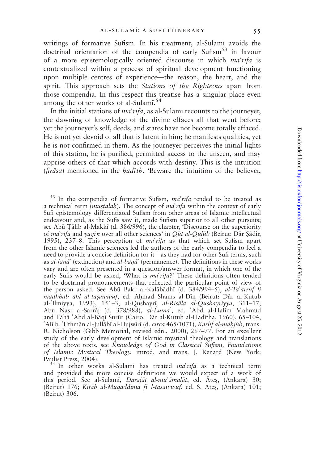writings of formative Sufism. In his treatment, al-Sulami avoids the doctrinal orientation of the compendia of early Sufism<sup>53</sup> in favour of a more epistemologically oriented discourse in which  $ma^{\prime}$ rifa is contextualized within a process of spiritual development functioning upon multiple centres of experience—the reason, the heart, and the spirit. This approach sets the *Stations of the Righteous* apart from those compendia. In this respect this treatise has a singular place even among the other works of al-Sulami.<sup>54</sup>

In the initial stations of  $ma^r$  *rifa*, as al-Sulami recounts to the journeyer, the dawning of knowledge of the divine effaces all that went before; yet the journeyer's self, deeds, and states have not become totally effaced. He is not yet devoid of all that is latent in him; he manifests qualities, yet he is not confirmed in them. As the journeyer perceives the initial lights of this station, he is purified, permitted access to the unseen, and may apprise others of that which accords with destiny. This is the intuition  $(firāsa)$  mentioned in the *hadith*. 'Beware the intuition of the believer,

 $53$  In the compendia of formative Sufism,  $ma^{\prime}$ rifa tended to be treated as a technical term (*mustalah*). The concept of  $ma'$ *rifa* within the context of early Sufi epistemology differentiated Sufism from other areas of Islamic intellectual endeavour and, as the Sufis saw it, made Sufism superior to all other pursuits; see Abū Tālib al-Makkī (d. 386/996), the chapter, 'Discourse on the superiority of ma'rifa and yaqin over all other sciences' in Qūt al-Qulūb (Beirut: Dār Şādir, 1995), 237–8. This perception of  $ma^{\prime}$ rifa as that which set Sufism apart from the other Islamic sciences led the authors of the early compendia to feel a need to provide a concise definition for it—as they had for other Sufi terms, such as al-fan $\vec{a}$  (extinction) and al-baq $\vec{a}$  (permanence). The definitions in these works vary and are often presented in a question/answer format, in which one of the early Sufis would be asked, 'What is  $ma'rifa$ ' These definitions often tended to be doctrinal pronouncements that reflected the particular point of view of the person asked. See Abū Bakr al-Kalābādhī (d. 384/994–5), al-Ta'arruf li madhhab ahl al-tașawwuf, ed. Ahmad Shams al-Din (Beirut: Dār al-Kutub al-'Ilmiyya, 1993), 151–3; al-Qushayrī, al-Risāla al-Qushayriyya, 311–17; Abū Nașr al-Sarrāj (d. 378/988), al-Luma<sup>c</sup>, ed. 'Abd al-Halīm Mahmūd and Tāhā 'Abd al-Bāqī Surūr (Cairo: Dār al-Kutub al-Hadītha, 1960), 65-104; 'Alī b. 'Uthmān al-Jullābī al-Hujwīrī (d. *circa 465/1071*), Kashf al-mahjúb, trans. R. Nicholson (Gibb Memorial, revised edn., 2000), 267–77. For an excellent study of the early development of Islamic mystical theology and translations of the above texts, see Knowledge of God in Classical Sufism, Foundations of Islamic Mystical Theology, introd. and trans. J. Renard (New York: Paulist Press, 2004).

<sup>54</sup> In other works al-Sulami has treated  $ma'rifa$  as a technical term and provided the more concise definitions we would expect of a work of this period. See al-Sulami, Darajāt al-mu'āmalāt, ed. Ateş, (Ankara) 30; (Beirut) 176; Kitāb al-Muqaddima fī l-tasawwuf, ed. S. Ates, (Ankara) 101; (Beirut) 306.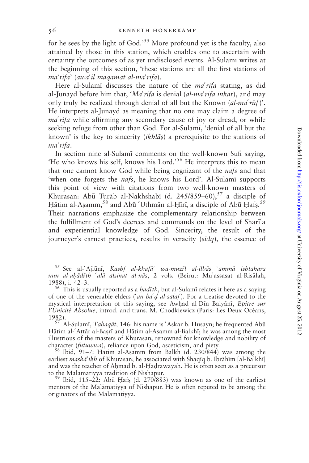for he sees by the light of  $God.^{55}$  More profound yet is the faculty, also attained by those in this station, which enables one to ascertain with certainty the outcomes of as yet undisclosed events. Al-Sulam; writes at the beginning of this section, 'these stations are all the first stations of ma'rifa' (awa'il maqamat al-ma'rifa).

Here al-Sulami discusses the nature of the  $ma^r$ rifa stating, as did al-Junayd before him that, 'Ma' rifa is denial (al-ma' rifa inkār), and may only truly be realized through denial of all but the Known  $(al-ma'r\bar{u}f)'$ . He interprets al-Junayd as meaning that no one may claim a degree of  $ma'$ rifa while affirming any secondary cause of joy or dread, or while seeking refuge from other than God. For al-Sulami, 'denial of all but the known' is the key to sincerity (*ikhlās*) a prerequisite to the stations of ma<sup>c</sup>rifa.

In section nine al-Sulam; comments on the well-known Sufi saying, 'He who knows his self, knows his Lord.'<sup>56</sup> He interprets this to mean that one cannot know God while being cognizant of the nafs and that 'when one forgets the *nafs*, he knows his Lord'. Al-Sulami supports this point of view with citations from two well-known masters of Khurasan: Abū Turāb al-Nakhshabī (d. 245/859–60),  $57$  a disciple of Hātim al-Aṣamm, 58 and Abū ʿUthmān al-Ḥīrī, a disciple of Abū Ḥafṣ. 59 Their narrations emphasize the complementary relationship between the fulfillment of God's decrees and commands on the level of Shari'a and experiential knowledge of God. Sincerity, the result of the journeyer's earnest practices, results in veracity (sidq), the essence of

 $55$  See al-'Ajlūnī, Kashf al-khafā' wa-muzīl al-ilbās 'ammā ishtahara min al-ahādīth 'alā alsinat al-nās, 2 vols. (Beirut: Mu'assasat al-Risālah, 1988), i. 42-3.

<sup>56</sup> This is usually reported as a *hadith*, but al-Sulami relates it here as a saying of one of the venerable elders ('an ba'd al-salaf). For a treatise devoted to the mystical interpretation of this saying, see Awhad al-Din Balyāni, Epître sur l'Unicité Absolue, introd. and trans. M. Chodkiewicz (Paris: Les Deux Océans,

1982).<br><sup>57</sup> Al-Sulamī, *Tabaqāt*, 146: his name is 'Askar b. Husayn; he frequented Abū Hātim al- $\Delta t$ al-Basrī and Hātim al-Asamm al-Balkhī; he was among the most illustrious of the masters of Khurasan, renowned for knowledge and nobility of character (*futuwwa*), reliance upon God, asceticism, and piety.<br><sup>58</sup> Ibid, 91–7: Hātim al-Aṣamm from Balkh (d. 230/844) was among the

earliest masha'ikh of Khurasan; he associated with Shaqīq b. Ibrāhīm [al-Balkhī] and was the teacher of Ahmad b. al-Hadrawayah. He is often seen as a precursor

to the Malāmatiyya tradition of Nishapur.<br><sup>59</sup> Ibid, 115–22: Abū Hafṣ (d. 270/883) was known as one of the earliest mentors of the Malamatiyya of Nishapur. He is often reputed to be among the originators of the Malāmatiyya.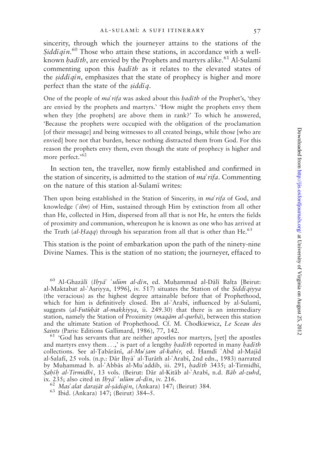sincerity, through which the journeyer attains to the stations of the Siddīqīn.<sup>60</sup> Those who attain these stations, in accordance with a wellknown *hadith*, are envied by the Prophets and martyrs alike.<sup>61</sup> Al-Sulami commenting upon this *hadith* as it relates to the elevated states of the siddigin, emphasizes that the state of prophecy is higher and more perfect than the state of the  $\xi \frac{d}{d\eta}$ .

One of the people of *ma'rifa* was asked about this *hadith* of the Prophet's, 'they are envied by the prophets and martyrs.' 'How might the prophets envy them when they [the prophets] are above them in rank?' To which he answered, 'Because the prophets were occupied with the obligation of the proclamation [of their message] and being witnesses to all created beings, while those [who are envied] bore not that burden, hence nothing distracted them from God. For this reason the prophets envy them, even though the state of prophecy is higher and more perfect.'<sup>62</sup>

In section ten, the traveller, now firmly established and confirmed in the station of sincerity, is admitted to the station of  $ma<sup>2</sup> rifa$ . Commenting on the nature of this station al-Sulam; writes:

Then upon being established in the Station of Sincerity, in *ma'rifa* of God, and knowledge  $(\hat{t} \textit{lm})$  of Him, sustained through Him by extinction from all other than He, collected in Him, dispersed from all that is not He, he enters the fields of proximity and communion, whereupon he is known as one who has arrived at the Truth (al-Haqq) through his separation from all that is other than He.<sup>63</sup>

This station is the point of embarkation upon the path of the ninety-nine Divine Names. This is the station of no station; the journeyer, effaced to

Saints (Paris: Editions Gallimard, 1986), 77, 142.<br><sup>61</sup> 'God has servants that are neither apostles nor martyrs, [yet] the apostles and martyrs envy them  $\ldots$ ,' is part of a lengthy *hadith* reported in many *hadith* collections. See al-Tabārānī, al-Mu'jam al-kabīr, ed. Hamdī 'Abd al-Majīd al-Salafi, 25 vols. (n.p.: Dār Ihyā' al-Turāth al-'Arabī, 2nd edn., 1983) narrated by Muhammad b. al-'Abbās al-Mu'addib, iii. 291, hadīth 3435; al-Tirmidhī, Sahīh al-Tirmidhī, 13 vols. (Beirut: Dār al-Kitāb al-Árabī, n.d. Bāb al-zuhd, ix. 235; also cited in Ihyā' 'ulūm al-dīn, iv. 216.

 $60$  Al-Ghazālī (Ihyā' 'ulūm al-dīn, ed. Muhammad al-Dālī Balța [Beirut: al-Maktabat al-'Asriyya, 1996], iv. 517) situates the Station of the Siddiqiyya (the veracious) as the highest degree attainable before that of Prophethood, which for him is definitively closed. Ibn al-'Arabī, influenced by al-Sulamī, suggests (al-Futūbāt al-makkiyya, ii. 249.30) that there is an intermediary station, namely the Station of Proximity ( $mag\bar{a}m$  al-qurb $\bar{a}$ ), between this station and the ultimate Station of Prophethood. Cf. M. Chodkiewicz, Le Sceau des

 $\frac{1}{62}$  Mas<sup>3</sup>alat darajāt al-sādiqīn, (Ankara) 147; (Beirut) 384. <sup>63</sup> Ibid. (Ankara) 147; (Beirut) 384–5.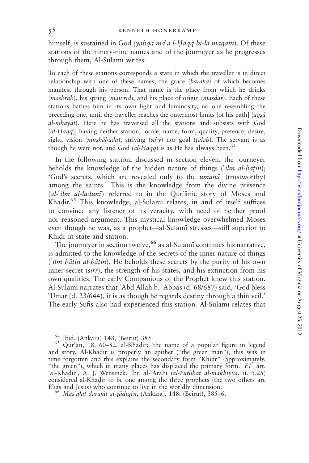himself, is sustained in God (yabqā ma'a l-Haqq bi-lā maqām). Of these stations of the ninety-nine names and of the journeyer as he progresses through them, Al-Sulami writes:

To each of these stations corresponds a state in which the traveller is in direct relationship with one of these names, the grace (baraka) of which becomes manifest through his person. That name is the place from which he drinks (mashrab), his spring (mawrid), and his place of origin (masdar). Each of these stations bathes him in its own light and luminosity, no one resembling the preceding one, until the traveller reaches the outermost limits [of his path] ( $aqs\bar{a}$ ) al-nihāyāt). Here he has traversed all the stations and subsists with God (al-Haqq), having neither station, locale, name, form, quality, pretence, desire, sight, vision (*mushahada*), striving (sa'y) nor goal (talab). The servant is as though he were not, and God (al-Haqq) is as He has always been.<sup>64</sup>

In the following station, discussed in section eleven, the journeyer beholds the knowledge of the hidden nature of things ( $\lim_{n \to \infty} a l-b \bar{a} t$ . 'God's secrets, which are revealed only to the *umana*' (trustworthy) among the saints.' This is the knowledge from the divine presence  $(al$ - $ilm$  al-laduni) referred to in the Qur'anic story of Moses and Khadir.<sup>65</sup> This knowledge, al-Sulami relates, in and of itself suffices to convince any listener of its veracity, with need of neither proof nor reasoned argument. This mystical knowledge overwhelmed Moses even though he was, as a prophet—al-Sulam; stresses—still superior to Khidr in state and station.

The journeyer in section twelve,<sup>66</sup> as al-Sulami continues his narrative, is admitted to the knowledge of the secrets of the inner nature of things ( $\int$ *ilm bāṭin al-bāṭin*). He beholds these secrets by the purity of his own inner secret (sirr), the strength of his states, and his extinction from his own qualities. The early Companions of the Prophet knew this station. Al-Sulamī narrates that 'Abd Allāh b. 'Abbās (d. 68/687) said, 'God bless 6Umar (d. 23/644), it is as though he regards destiny through a thin veil.' The early Sufis also had experienced this station. Al-Sulam; relates that

<sup>&</sup>lt;sup>64</sup> Ibid. (Ankara) 148; (Beirut) 385.<br><sup>65</sup> Qur'ān, 18. 60–82. al-Khaḍir: 'the name of a popular figure in legend and story. Al-Khadir is properly an epithet ("the green man"); this was in time forgotten and this explains the secondary form "Khidr" (approximately, "the green"), which in many places has displaced the primary form.'  $EI^2$  art. 'al-Khadir', A. J. Wensinck. Ibn al-'Arabī (al-Futūhāt al-makkiyya, ii. 5.25) considered al-Khadir to be one among the three prophets (the two others are

Elias and Jesus) who continue to live in the worldly dimension.<br><sup>66</sup> Mas'alat darajāt al-sādiqīn, (Ankara), 148; (Beirut), 385–6.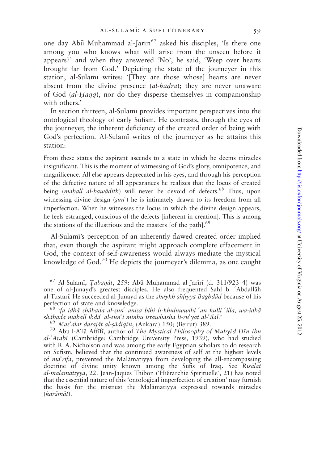one day Abū Muḥammad al-Jarīrī<sup>67</sup> asked his disciples, 'Is there one among you who knows what will arise from the unseen before it appears?' and when they answered 'No', he said, 'Weep over hearts brought far from God.' Depicting the state of the journeyer in this station, al-Sulam; writes: '[They are those whose] hearts are never absent from the divine presence  $(al\text{-}hadra)$ ; they are never unaware of God  $(al-Haqa)$ , nor do they disperse themselves in companionship with others.'

In section thirteen, al-Sulam; provides important perspectives into the ontological theology of early Sufism. He contrasts, through the eyes of the journeyer, the inherent deficiency of the created order of being with God's perfection. Al-Sulam; writes of the journeyer as he attains this station:

From these states the aspirant ascends to a state in which he deems miracles insignificant. This is the moment of witnessing of God's glory, omnipotence, and magnificence. All else appears deprecated in his eyes, and through his perception of the defective nature of all appearances he realizes that the locus of created being (mahall al-hawādith) will never be devoid of defects.<sup>68</sup> Thus, upon witnessing divine design  $(sun^{\prime})$  he is intimately drawn to its freedom from all imperfection. When he witnesses the locus in which the divine design appears, he feels estranged, conscious of the defects [inherent in creation]. This is among the stations of the illustrious and the masters [of the path].<sup>69</sup>

Al-Sulami's perception of an inherently flawed created order implied that, even though the aspirant might approach complete effacement in God, the context of self-awareness would always mediate the mystical knowledge of  $God.^{70}$  He depicts the journeyer's dilemma, as one caught

 $67$  Al-Sulamī, *Tabaqāt*, 259: Abū Muḥammad al-Jarīrī (d. 311/923-4) was one of al-Junayd's greatest disciples. He also frequented Sahl b. 'Abdallah al-Tustarī. He succeeded al-Junayd as the *shaykh ṣūfiyya Baghdād* because of his perfection of state and knowledge.

<sup>68</sup> 'fa idhā shāhada al-ṣunʿ anisa bihi li-khuluwwihi ʿan kulli ʿilla, wa-idhā<br>shāhada mahall ibdāʾ al-sunʿi minhu istawhasha li-ruʾ yat al-ʿilal.'

 $\frac{69}{70}$  Mas'alat darajāt al-sādiqīn, (Ankara) 150; (Beirut) 389. 70 Abū l-A'lā Affifi, author of The Mystical Philosophy of Muhyīd Dīn Ibn al-'Arabī (Cambridge: Cambridge University Press, 1939), who had studied with R. A. Nicholson and was among the early Egyptian scholars to do research on Sufism, believed that the continued awareness of self at the highest levels of  $ma' \rightarrow rifa$ , prevented the Malamatiyya from developing the all-encompassing doctrine of divine unity known among the Sufis of Iraq. See Risalat al-malāmatiyya, 22. Jean-Jaques Thibon ('Hiérarchie Spirituelle', 21) has noted that the essential nature of this 'ontological imperfection of creation' may furnish the basis for the mistrust the Malamatiyya expressed towards miracles (karāmāt).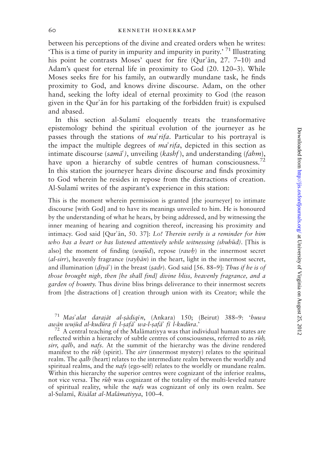between his perceptions of the divine and created orders when he writes: 'This is a time of purity in impurity and impurity in purity.' <sup>71</sup> Illustrating his point he contrasts Moses' quest for fire  $(Qur^2\bar{a}n, 27. 7-10)$  and Adam's quest for eternal life in proximity to God (20. 120–3). While Moses seeks fire for his family, an outwardly mundane task, he finds proximity to God, and knows divine discourse. Adam, on the other hand, seeking the lofty ideal of eternal proximity to God (the reason given in the Qur'an for his partaking of the forbidden fruit) is expulsed and abased.

In this section al-Sulam; eloquently treats the transformative epistemology behind the spiritual evolution of the journeyer as he passes through the stations of  $ma'rifa$ . Particular to his portrayal is the impact the multiple degrees of  $ma'rifa$ , depicted in this section as intimate discourse (sama<sup> $\zeta$ </sup>), unveiling (kashf), and understanding (fahm), have upon a hierarchy of subtle centres of human consciousness.<sup>72</sup> In this station the journeyer hears divine discourse and finds proximity to God wherein he resides in repose from the distractions of creation. Al-Sulam; writes of the aspirant's experience in this station:

This is the moment wherein permission is granted [the journeyer] to intimate discourse [with God] and to have its meanings unveiled to him. He is honoured by the understanding of what he hears, by being addressed, and by witnessing the inner meaning of hearing and cognition thereof, increasing his proximity and intimacy. God said  $[Qur]$ an, 50. 37]: Lo! Therein verily is a reminder for him who has a heart or has listened attentively while witnessing (shuhūd). [This is also] the moment of finding  $(wu\bar{u}d)$ , repose  $(rawh)$  in the innermost secret  $(al-sirr)$ , heavenly fragrance  $(rayh\bar{a}n)$  in the heart, light in the innermost secret, and illumination ( $diya$ ) in the breast (sadr). God said [56. 88–9]: Thus if he is of those brought nigh, then [he shall find] divine bliss, heavenly fragrance, and a garden of bounty. Thus divine bliss brings deliverance to their innermost secrets from [the distractions of] creation through union with its Creator; while the

<sup>71</sup> Mas'alat darajāt al-sādiqīn, (Ankara) 150; (Beirut) 388–9: 'huwa awān wujūd al-kudūra fī l-safā' wa-l-safā' fī l-kudūra.'

 $172$  A central teaching of the Malamatiyya was that individual human states are reflected within a hierarchy of subtle centres of consciousness, referred to as  $r\bar{u}h$ , sirr, qalb, and nafs. At the summit of the hierarchy was the divine rendered manifest to the *ruh* (spirit). The *sirr* (innermost mystery) relates to the spiritual realm. The *qalb* (heart) relates to the intermediate realm between the worldly and spiritual realms, and the *nafs* (ego-self) relates to the worldly or mundane realm. Within this hierarchy the superior centres were cognizant of the inferior realms, not vice versa. The  $\bar{rib}$  was cognizant of the totality of the multi-leveled nature of spiritual reality, while the *nafs* was cognizant of only its own realm. See al-Sulamī, Risālat al-Malāmatiyya, 100-4.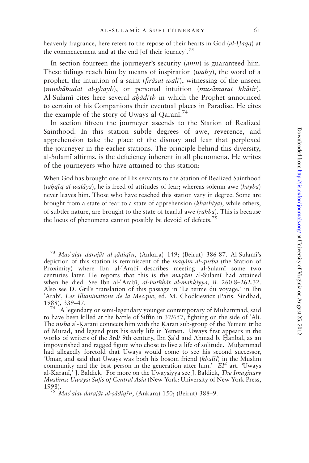heavenly fragrance, here refers to the repose of their hearts in God (al-Haqq) at the commencement and at the end [of their journey]. $73$ 

In section fourteen the journeyer's security (*amn*) is guaranteed him. These tidings reach him by means of inspiration  $(waby)$ , the word of a prophet, the intuition of a saint *(firetiliat wali)*, witnessing of the unseen (mushāhadat al-ghayb), or personal intuition (musāmarat khāṭir). Al-Sulami cites here several *ahādīth* in which the Prophet announced to certain of his Companions their eventual places in Paradise. He cites the example of the story of Uways al-Qarani.<sup>74</sup>

In section fifteen the journeyer ascends to the Station of Realized Sainthood. In this station subtle degrees of awe, reverence, and apprehension take the place of the dismay and fear that perplexed the journeyer in the earlier stations. The principle behind this diversity, al-Sulam; affirms, is the deficiency inherent in all phenomena. He writes of the journeyers who have attained to this station:

When God has brought one of His servants to the Station of Realized Sainthood (tahqiq al-walaya), he is freed of attitudes of fear; whereas solemn awe (hayba) never leaves him. Those who have reached this station vary in degree. Some are brought from a state of fear to a state of apprehension (khashiya), while others, of subtler nature, are brought to the state of fearful awe (rahba). This is because the locus of phenomena cannot possibly be devoid of defects.<sup>75</sup>

<sup>73</sup> Mas'alat darajāt al-șādiqīn, (Ankara) 149; (Beirut) 386-87. Al-Sulamī's depiction of this station is reminiscent of the *magam al-qurba* (the Station of Proximity) where Ibn al-'Arabī describes meeting al-Sulamī some two centuries later. He reports that this is the  $mag\bar{a}m$  al-Sulami had attained when he died. See Ibn al- $'Arab\bar{i}$ , al-Fut $\bar{i}ab\bar{i}$  al-makkiyya, ii. 260.8–262.32. Also see D. Gril's translation of this passage in 'Le terme du voyage,' in Ibn 6Arab;, Les Illuminations de la Mecque, ed. M. Chodkiewicz (Paris: Sindbad, 1988), 339–47.<br> $\frac{74 \text{ A}}{74 \text{ A}}$  legendary or semi-legendary younger contemporary of Muhammad, said

to have been killed at the battle of  $Siffin$  in 37/657, fighting on the side of 'Ali. The *nisba* al-Karanī connects him with the Karan sub-group of the Yemeni tribe of Murād, and legend puts his early life in Yemen. Uways first appears in the works of writers of the 3rd/ 9th century, Ibn Sa'd and Ahmad b. Hanbal, as an impoverished and ragged figure who chose to live a life of solitude. Muhammad had allegedly foretold that Uways would come to see his second successor, 'Umar, and said that Uways was both his bosom friend (khalil) in the Muslim community and the best person in the generation after him.'  $EI^2$  art. 'Uways' al-Karanī,' J. Baldick. For more on the Uwaysiyya see J. Baldick, The Imaginary Muslims: Uwaysi Sufis of Central Asia (New York: University of New York Press, 1998).<br><sup>75</sup> Mas'alat darajāt al-ṣādiqīn, (Ankara) 150; (Beirut) 388–9.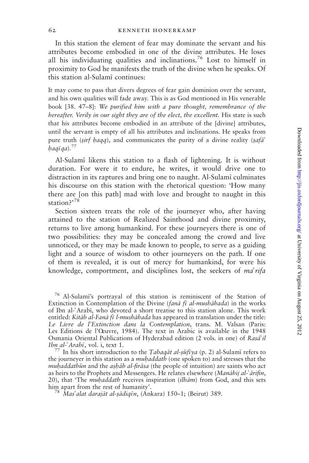In this station the element of fear may dominate the servant and his attributes become embodied in one of the divine attributes. He loses all his individuating qualities and inclinations.<sup>76</sup> Lost to himself in proximity to God he manifests the truth of the divine when he speaks. Of this station al-Sulam; continues:

It may come to pass that divers degrees of fear gain dominion over the servant, and his own qualities will fade away. This is as God mentioned in His venerable book [38. 47–8]: We purified him with a pure thought, remembrance of the hereafter. Verily in our sight they are of the elect, the excellent. His state is such that his attributes become embodied in an attribute of the [divine] attributes, until the servant is empty of all his attributes and inclinations. He speaks from pure truth (sirf haqq), and communicates the purity of a divine reality (safa<sup>2</sup>)  $baq\bar{q}q$ ).<sup>77</sup>

Al-Sulam; likens this station to a flash of lightening. It is without duration. For were it to endure, he writes, it would drive one to distraction in its raptures and bring one to naught. Al-Sulami culminates his discourse on this station with the rhetorical question: 'How many there are [on this path] mad with love and brought to naught in this station?<sup>78</sup>

Section sixteen treats the role of the journeyer who, after having attained to the station of Realized Sainthood and divine proximity, returns to live among humankind. For these journeyers there is one of two possibilities: they may be concealed among the crowd and live unnoticed, or they may be made known to people, to serve as a guiding light and a source of wisdom to other journeyers on the path. If one of them is revealed, it is out of mercy for humankind, for were his knowledge, comportment, and disciplines lost, the seekers of  $ma<sup>2</sup> rifa$ 

the journeyer in this station as a *muhaddath* (one spoken to) and stresses that the muhaddathun and the ashab al-firasa (the people of intuition) are saints who act as heirs to the Prophets and Messengers. He relates elsewhere (*Manabij al-* $\tilde{a}$ *rifin*, 20), that 'The *muhaddath* receives inspiration (*ilhām*) from God, and this sets him apart from the rest of humanity'.<br><sup>78</sup> Mas'alat darajāt al-sādiqīn, (Ankara) 150–1; (Beirut) 389.

<sup>&</sup>lt;sup>76</sup> Al-Sulami's portrayal of this station is reminiscent of the Station of Extinction in Contemplation of the Divine (fana fi al-mushahada) in the works of Ibn al-6Arab;, who devoted a short treatise to this station alone. This work entitled: Kitāb al-Fanā fī l-mushābada has appeared in translation under the title: Le Livre de l'Extinction dans la Contemplation, trans. M. Valsan (Paris: Les Editions de l'Oeuvre, 1984). The text in Arabic is available in the 1948 Osmania Oriental Publications of Hyderabad edition (2 vols. in one) of Rasa'il Ibn al- $Arab\bar{i}$ , vol. i, text 1.<br><sup>77</sup> In his short introduction to the *Tabaqāt al-sūfī ya* (p. 2) al-Sulamī refers to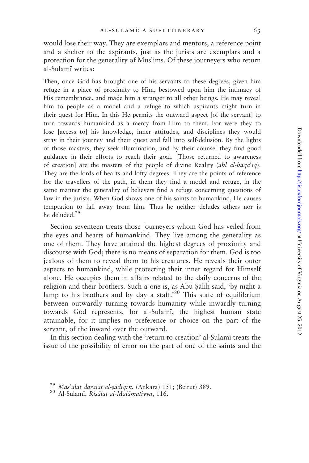would lose their way. They are exemplars and mentors, a reference point and a shelter to the aspirants, just as the jurists are exemplars and a protection for the generality of Muslims. Of these journeyers who return al-Sulam; writes:

Then, once God has brought one of his servants to these degrees, given him refuge in a place of proximity to Him, bestowed upon him the intimacy of His remembrance, and made him a stranger to all other beings, He may reveal him to people as a model and a refuge to which aspirants might turn in their quest for Him. In this He permits the outward aspect [of the servant] to turn towards humankind as a mercy from Him to them. For were they to lose [access to] his knowledge, inner attitudes, and disciplines they would stray in their journey and their quest and fall into self-delusion. By the lights of those masters, they seek illumination, and by their counsel they find good guidance in their efforts to reach their goal. [Those returned to awareness of creation] are the masters of the people of divine Reality (ahl al-haqa<sup>2</sup>iq). They are the lords of hearts and lofty degrees. They are the points of reference for the travellers of the path, in them they find a model and refuge, in the same manner the generality of believers find a refuge concerning questions of law in the jurists. When God shows one of his saints to humankind, He causes temptation to fall away from him. Thus he neither deludes others nor is he deluded.<sup>79</sup>

Section seventeen treats those journeyers whom God has veiled from the eyes and hearts of humankind. They live among the generality as one of them. They have attained the highest degrees of proximity and discourse with God; there is no means of separation for them. God is too jealous of them to reveal them to his creatures. He reveals their outer aspects to humankind, while protecting their inner regard for Himself alone. He occupies them in affairs related to the daily concerns of the religion and their brothers. Such a one is, as Abu Salih said, 'by night a lamp to his brothers and by day a staff.<sup>80</sup> This state of equilibrium between outwardly turning towards humanity while inwardly turning towards God represents, for al-Sulam;, the highest human state attainable, for it implies no preference or choice on the part of the servant, of the inward over the outward.

In this section dealing with the 'return to creation' al-Sulami treats the issue of the possibility of error on the part of one of the saints and the

<sup>&</sup>lt;sup>79</sup> Mas'alat darajāt al-sādiqīn, (Ankara) 151; (Beirut) 389.<br><sup>80</sup> Al-Sulamī, *Risālat al-Malāmatiyya*, 116.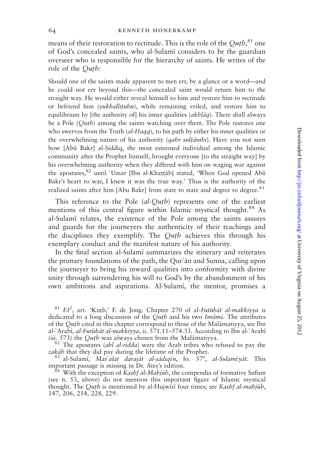means of their restoration to rectitude. This is the role of the  $Qutb, ^{81}$  one of God's concealed saints, who al-Sulam; considers to be the guardian overseer who is responsible for the hierarchy of saints. He writes of the role of the *Qutb*:

Should one of the saints made apparent to men err, by a glance or a word—and he could not err beyond this—the concealed saint would return him to the straight way. He would either reveal himself to him and restore him to rectitude or befriend him (yukhallituhu), while remaining veiled, and restore him to equilibrium by [the authority of] his inner qualities  $(akbl\bar{a}q)$ . There shall always be a Pole  $(Outb)$  among the saints watching over them. The Pole restores one who swerves from the Truth  $(al-Haqq)$ , to his path by either his inner qualities or the overwhelming nature of his authority (*qahr sultānihi*). Have you not seen how [Abū Bakr] al-Siddīg, the most esteemed individual among the Islamic community after the Prophet himself, brought everyone [to the straight way] by his overwhelming authority when they differed with him on waging war against the apostates,<sup>82</sup> until 'Umar [Ibn al-Khaṭṭāb] stated, 'When God opened Abū Bakr's heart to war, I knew it was the true way.' Thus is the authority of the realized saints after him [Abu Bakr] from state to state and degree to degree.<sup>83</sup>

This reference to the Pole  $(al-Outb)$  represents one of the earliest mentions of this central figure within Islamic mystical thought.<sup>84</sup> As al-Sulam; relates, the existence of the Pole among the saints assures and guards for the journeyers the authenticity of their teachings and the disciplines they exemplify. The  $Qutb$  achieves this through his exemplary conduct and the manifest nature of his authority.

In the final section al-Sulam; summarizes the itinerary and reiterates the primary foundations of the path, the Qur'an and Sunna, calling upon the journeyer to bring his inward qualities into conformity with divine unity through surrendering his will to God's by the abandonment of his own ambitions and aspirations. Al-Sulami, the mentor, promises a

(iii. 573) the *Qutb* was always chosen from the Malāmatiyya.<br><sup>82</sup> The apostates (*ahl al-ridda*) were the Arab tribes who refused to pay the *zakāh* that they did pay during the lifetime of the Prophet. zakāb that they did pay during the lifetime of the Prophet.<br><sup>83</sup> al-Sulamī, *Mas'alat darajāt al-ṣādiqīn*, fo. 57<sup>a</sup>, *al-Sulamīyāt*. This

important passage is missing in Dr. Ates's edition.<br><sup>84</sup> With the exception of *Kashf al-Mahjūb*, the compendia of formative Sufism

(see n. 53, above) do not mention this important figure of Islamic mystical thought. The *Qutb* is mentioned by al-Hujwiri four times; see Kashf al-mahjub, 147, 206, 214, 228, 229.

 $81$  EI<sup>2</sup>, art. 'Kutb,' F. de Jong. Chapter 270 of al-Futuhāt al-makkiyya is dedicated to a long discussion of the  $Q$ utb and his two Imams. The attributes of the *Qutb* cited in this chapter correspond to those of the Malamatiyya, see Ibn al- $Arab\bar{i}$ , al-Futuhāt al-makkiyya, ii. 571.11–574.33. According to Ibn al- $Arab\bar{i}$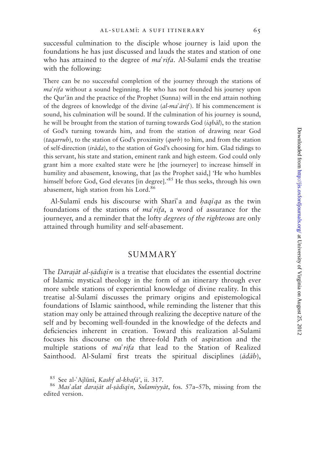successful culmination to the disciple whose journey is laid upon the foundations he has just discussed and lauds the states and station of one who has attained to the degree of  $ma' \, rifa$ . Al-Sulami ends the treatise with the following:

There can be no successful completion of the journey through the stations of  $ma'$ rifa without a sound beginning. He who has not founded his journey upon the Qur'an and the practice of the Prophet (Sunna) will in the end attain nothing of the degrees of knowledge of the divine  $(al-ma'\bar{a}rif)$ . If his commencement is sound, his culmination will be sound. If the culmination of his journey is sound, he will be brought from the station of turning towards God  $(iqbdi)$ , to the station of God's turning towards him, and from the station of drawing near God (tagarrub), to the station of God's proximity (qurb) to him, and from the station of self-direction (*irāda*), to the station of God's choosing for him. Glad tidings to this servant, his state and station, eminent rank and high esteem. God could only grant him a more exalted state were he [the journeyer] to increase himself in humility and abasement, knowing, that [as the Prophet said,] 'He who humbles himself before God, God elevates [in degree].<sup>85</sup> He thus seeks, through his own abasement, high station from his Lord.<sup>86</sup>

Al-Sulami ends his discourse with Shari'a and  $haq\bar{q}q$  as the twin foundations of the stations of  $ma'rifa$ , a word of assurance for the journeyer, and a reminder that the lofty degrees of the righteous are only attained through humility and self-abasement.

### **SUMMARY**

The *Darajāt al-sādiqīn* is a treatise that elucidates the essential doctrine of Islamic mystical theology in the form of an itinerary through ever more subtle stations of experiential knowledge of divine reality. In this treatise al-Sulam; discusses the primary origins and epistemological foundations of Islamic sainthood, while reminding the listener that this station may only be attained through realizing the deceptive nature of the self and by becoming well-founded in the knowledge of the defects and deficiencies inherent in creation. Toward this realization al-Sulam; focuses his discourse on the three-fold Path of aspiration and the multiple stations of  $ma' \, r$ ifa that lead to the Station of Realized Sainthood. Al-Sulamī first treats the spiritual disciplines  $(\bar{a}d\bar{a}b)$ ,

<sup>&</sup>lt;sup>85</sup> See al-6Ajlūnī, *Kashf al-khafā*', ii. 317.<br><sup>86</sup> Mas'alat darajāt al-șādiqīn, Sulamiyyāt, fos. 57a–57b, missing from the edited version.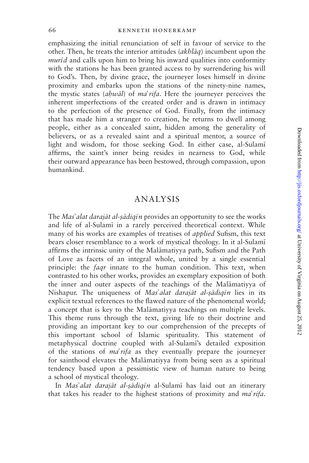66 kenneth honerkamp

emphasizing the initial renunciation of self in favour of service to the other. Then, he treats the interior attitudes  $(akbl\bar{a}q)$  incumbent upon the  $muri$  and calls upon him to bring his inward qualities into conformity with the stations he has been granted access to by surrendering his will to God's. Then, by divine grace, the journeyer loses himself in divine proximity and embarks upon the stations of the ninety-nine names, the mystic states (ahwal) of ma'rifa. Here the journeyer perceives the inherent imperfections of the created order and is drawn in intimacy to the perfection of the presence of God. Finally, from the intimacy that has made him a stranger to creation, he returns to dwell among people, either as a concealed saint, hidden among the generality of believers, or as a revealed saint and a spiritual mentor, a source of light and wisdom, for those seeking God. In either case, al-Sulam; affirms, the saint's inner being resides in nearness to God, while their outward appearance has been bestowed, through compassion, upon humankind.

### ANALYSIS

The Mas' alat darajāt al-sādigīn provides an opportunity to see the works and life of al-Sulami in a rarely perceived theoretical context. While many of his works are examples of treatises of applied Sufism, this text bears closer resemblance to a work of mystical theology. In it al-Sulam; affirms the intrinsic unity of the Malamatiyya path, Sufism and the Path of Love as facets of an integral whole, united by a single essential principle: the *faqr* innate to the human condition. This text, when contrasted to his other works, provides an exemplary exposition of both the inner and outer aspects of the teachings of the Malamatiyya of Nishapur. The uniqueness of Mas'alat darajāt al-șādiqīn lies in its explicit textual references to the flawed nature of the phenomenal world; a concept that is key to the Malamatiyya teachings on multiple levels. This theme runs through the text, giving life to their doctrine and providing an important key to our comprehension of the precepts of this important school of Islamic spirituality. This statement of metaphysical doctrine coupled with al-Sulami's detailed exposition of the stations of  $ma' \eta a$  as they eventually prepare the journeyer for sainthood elevates the Malamatiyya from being seen as a spiritual tendency based upon a pessimistic view of human nature to being a school of mystical theology.

In Mas'alat darajāt al-sādigīn al-Sulamī has laid out an itinerary that takes his reader to the highest stations of proximity and  $ma'$ rifa.